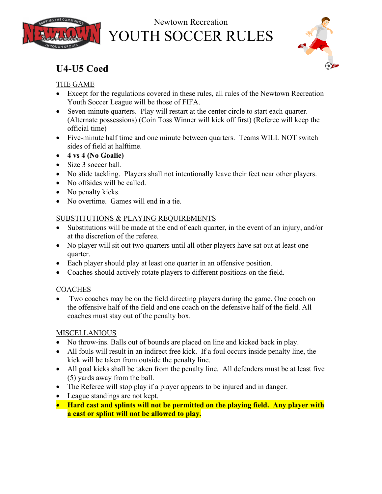

# Newtown Recreation YOUTH SOCCER RULES



# **U4-U5 Coed**

#### THE GAME

- Except for the regulations covered in these rules, all rules of the Newtown Recreation Youth Soccer League will be those of FIFA.
- Seven-minute quarters. Play will restart at the center circle to start each quarter. (Alternate possessions) (Coin Toss Winner will kick off first) (Referee will keep the official time)
- Five-minute half time and one minute between quarters. Teams WILL NOT switch sides of field at halftime.
- **4 vs 4 (No Goalie)**
- Size 3 soccer ball.
- No slide tackling. Players shall not intentionally leave their feet near other players.
- No offsides will be called.
- No penalty kicks.
- No overtime. Games will end in a tie.

#### SUBSTITUTIONS & PLAYING REQUIREMENTS

- Substitutions will be made at the end of each quarter, in the event of an injury, and/or at the discretion of the referee.
- No player will sit out two quarters until all other players have sat out at least one quarter.
- Each player should play at least one quarter in an offensive position.
- Coaches should actively rotate players to different positions on the field.

### COACHES

• Two coaches may be on the field directing players during the game. One coach on the offensive half of the field and one coach on the defensive half of the field. All coaches must stay out of the penalty box.

### MISCELLANIOUS

- No throw-ins. Balls out of bounds are placed on line and kicked back in play.
- All fouls will result in an indirect free kick. If a foul occurs inside penalty line, the kick will be taken from outside the penalty line.
- All goal kicks shall be taken from the penalty line. All defenders must be at least five (5) yards away from the ball.
- The Referee will stop play if a player appears to be injured and in danger.
- League standings are not kept.
- **Hard cast and splints will not be permitted on the playing field. Any player with a cast or splint will not be allowed to play.**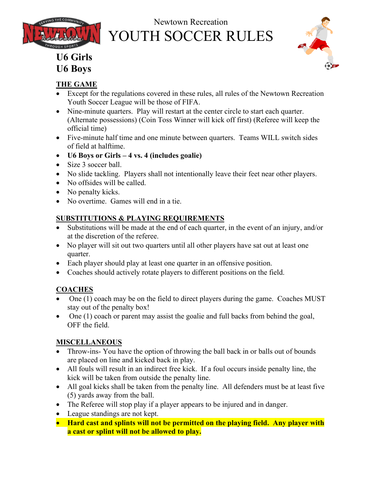

# Newtown Recreation YOUTH SOCCER RULES



# **U6 Girls U6 Boys**

### **THE GAME**

- Except for the regulations covered in these rules, all rules of the Newtown Recreation Youth Soccer League will be those of FIFA.
- Nine-minute quarters. Play will restart at the center circle to start each quarter. (Alternate possessions) (Coin Toss Winner will kick off first) (Referee will keep the official time)
- Five-minute half time and one minute between quarters. Teams WILL switch sides of field at halftime.
- **U6 Boys or Girls 4 vs. 4 (includes goalie)**
- Size 3 soccer ball.
- No slide tackling. Players shall not intentionally leave their feet near other players.
- No offsides will be called.
- No penalty kicks.
- No overtime. Games will end in a tie.

## **SUBSTITUTIONS & PLAYING REQUIREMENTS**

- Substitutions will be made at the end of each quarter, in the event of an injury, and/or at the discretion of the referee.
- No player will sit out two quarters until all other players have sat out at least one quarter.
- Each player should play at least one quarter in an offensive position.
- Coaches should actively rotate players to different positions on the field.

## **COACHES**

- One (1) coach may be on the field to direct players during the game. Coaches MUST stay out of the penalty box!
- One (1) coach or parent may assist the goalie and full backs from behind the goal, OFF the field.

### **MISCELLANEOUS**

- Throw-ins- You have the option of throwing the ball back in or balls out of bounds are placed on line and kicked back in play.
- All fouls will result in an indirect free kick. If a foul occurs inside penalty line, the kick will be taken from outside the penalty line.
- All goal kicks shall be taken from the penalty line. All defenders must be at least five (5) yards away from the ball.
- The Referee will stop play if a player appears to be injured and in danger.
- League standings are not kept.
- **Hard cast and splints will not be permitted on the playing field. Any player with a cast or splint will not be allowed to play.**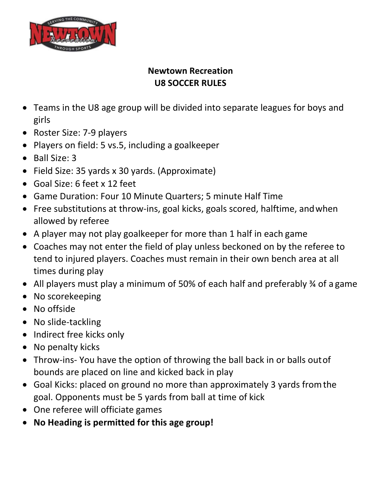

## **Newtown Recreation U8 SOCCER RULES**

- Teams in the U8 age group will be divided into separate leagues for boys and girls
- Roster Size: 7-9 players
- Players on field: 5 vs.5, including a goalkeeper
- Ball Size: 3
- Field Size: 35 yards x 30 yards. (Approximate)
- Goal Size: 6 feet x 12 feet
- Game Duration: Four 10 Minute Quarters; 5 minute Half Time
- Free substitutions at throw-ins, goal kicks, goals scored, halftime, andwhen allowed by referee
- A player may not play goalkeeper for more than 1 half in each game
- Coaches may not enter the field of play unless beckoned on by the referee to tend to injured players. Coaches must remain in their own bench area at all times during play
- All players must play a minimum of 50% of each half and preferably 34 of a game
- No scorekeeping
- No offside
- No slide-tackling
- Indirect free kicks only
- No penalty kicks
- Throw-ins- You have the option of throwing the ball back in or balls outof bounds are placed on line and kicked back in play
- Goal Kicks: placed on ground no more than approximately 3 yards fromthe goal. Opponents must be 5 yards from ball at time of kick
- One referee will officiate games
- **No Heading is permitted for this age group!**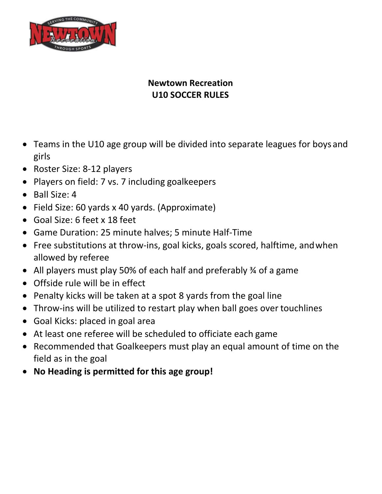

# **Newtown Recreation U10 SOCCER RULES**

- Teams in the U10 age group will be divided into separate leagues for boys and girls
- Roster Size: 8-12 players
- Players on field: 7 vs. 7 including goalkeepers
- Ball Size: 4
- Field Size: 60 yards x 40 yards. (Approximate)
- Goal Size: 6 feet x 18 feet
- Game Duration: 25 minute halves; 5 minute Half-Time
- Free substitutions at throw-ins, goal kicks, goals scored, halftime, andwhen allowed by referee
- All players must play 50% of each half and preferably % of a game
- Offside rule will be in effect
- Penalty kicks will be taken at a spot 8 yards from the goal line
- Throw-ins will be utilized to restart play when ball goes over touchlines
- Goal Kicks: placed in goal area
- At least one referee will be scheduled to officiate each game
- Recommended that Goalkeepers must play an equal amount of time on the field as in the goal
- **No Heading is permitted for this age group!**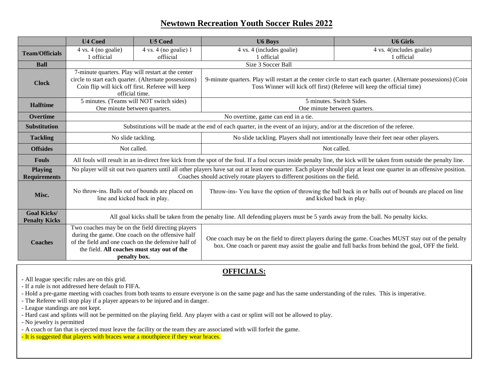#### **Newtown Recreation Youth Soccer Rules 2022**

|                                            | <b>U4 Coed</b>                                                                                                                                                                                                                                       | <b>U5 Coed</b>                                                                                        | <b>U6 Boys</b>                                                                                                                                                                                              | <b>U6 Girls</b>          |  |  |  |
|--------------------------------------------|------------------------------------------------------------------------------------------------------------------------------------------------------------------------------------------------------------------------------------------------------|-------------------------------------------------------------------------------------------------------|-------------------------------------------------------------------------------------------------------------------------------------------------------------------------------------------------------------|--------------------------|--|--|--|
| <b>Team/Officials</b>                      | 4 vs. 4 (no goalie)                                                                                                                                                                                                                                  | $4 \text{ vs. } 4 \text{ (no goalie)}$ 1                                                              | 4 vs. 4 (includes goalie)                                                                                                                                                                                   | 4 vs. 4(includes goalie) |  |  |  |
|                                            | 1 offiicial                                                                                                                                                                                                                                          | offiicial                                                                                             | 1 official                                                                                                                                                                                                  | 1 official               |  |  |  |
| <b>Ball</b>                                | Size 3 Soccer Ball                                                                                                                                                                                                                                   |                                                                                                       |                                                                                                                                                                                                             |                          |  |  |  |
| <b>Clock</b>                               | 7-minute quarters. Play will restart at the center<br>circle to start each quarter. (Alternate possessions)<br>Coin flip will kick off first. Referee will keep<br>official time.                                                                    |                                                                                                       | 9-minute quarters. Play will restart at the center circle to start each quarter. (Alternate possessions) (Coin<br>Toss Winner will kick off first) (Referee will keep the official time)                    |                          |  |  |  |
| <b>Halftime</b>                            | 5 minutes. (Teams will NOT switch sides)                                                                                                                                                                                                             |                                                                                                       | 5 minutes. Switch Sides.                                                                                                                                                                                    |                          |  |  |  |
|                                            | One minute between quarters.                                                                                                                                                                                                                         |                                                                                                       | One minute between quarters.                                                                                                                                                                                |                          |  |  |  |
| Overtime                                   | No overtime, game can end in a tie.                                                                                                                                                                                                                  |                                                                                                       |                                                                                                                                                                                                             |                          |  |  |  |
| <b>Substitution</b>                        | Substitutions will be made at the end of each quarter, in the event of an injury, and/or at the discretion of the referee.                                                                                                                           |                                                                                                       |                                                                                                                                                                                                             |                          |  |  |  |
| <b>Tackling</b>                            | No slide tackling.                                                                                                                                                                                                                                   |                                                                                                       | No slide tackling. Players shall not intentionally leave their feet near other players.                                                                                                                     |                          |  |  |  |
| <b>Offsides</b>                            | Not called.                                                                                                                                                                                                                                          |                                                                                                       | Not called.                                                                                                                                                                                                 |                          |  |  |  |
| <b>Fouls</b>                               | All fouls will result in an in-direct free kick from the spot of the foul. If a foul occurs inside penalty line, the kick will be taken from outside the penalty line.                                                                               |                                                                                                       |                                                                                                                                                                                                             |                          |  |  |  |
| <b>Playing</b><br><b>Requirements</b>      | No player will sit out two quarters until all other players have sat out at least one quarter. Each player should play at least one quarter in an offensive position.<br>Coaches should actively rotate players to different positions on the field. |                                                                                                       |                                                                                                                                                                                                             |                          |  |  |  |
| Misc.                                      | No throw-ins. Balls out of bounds are placed on<br>line and kicked back in play.                                                                                                                                                                     |                                                                                                       | Throw-ins- You have the option of throwing the ball back in or balls out of bounds are placed on line<br>and kicked back in play.                                                                           |                          |  |  |  |
| <b>Goal Kicks/</b><br><b>Penalty Kicks</b> | All goal kicks shall be taken from the penalty line. All defending players must be 5 yards away from the ball. No penalty kicks.                                                                                                                     |                                                                                                       |                                                                                                                                                                                                             |                          |  |  |  |
| <b>Coaches</b>                             | of the field and one coach on the defensive half of<br>the field. All coaches must stay out of the<br>penalty box.                                                                                                                                   | Two coaches may be on the field directing players<br>during the game. One coach on the offensive half | One coach may be on the field to direct players during the game. Coaches MUST stay out of the penalty<br>box. One coach or parent may assist the goalie and full backs from behind the goal, OFF the field. |                          |  |  |  |

#### **OFFICIALS:**

- All league specific rules are on this grid.

- If a rule is not addressed here default to FIFA.

- Hold a pre-game meeting with coaches from both teams to ensure everyone is on the same page and has the same understanding of the rules. This is imperative.

- The Referee will stop play if a player appears to be injured and in danger.

- League standings are not kept.

- Hard cast and splints will not be permitted on the playing field. Any player with a cast or splint will not be allowed to play.

- No jewelry is permitted

- A coach or fan that is ejected must leave the facility or the team they are associated with will forfeit the game.

- It is suggested that players with braces wear a mouthpiece if they wear braces.